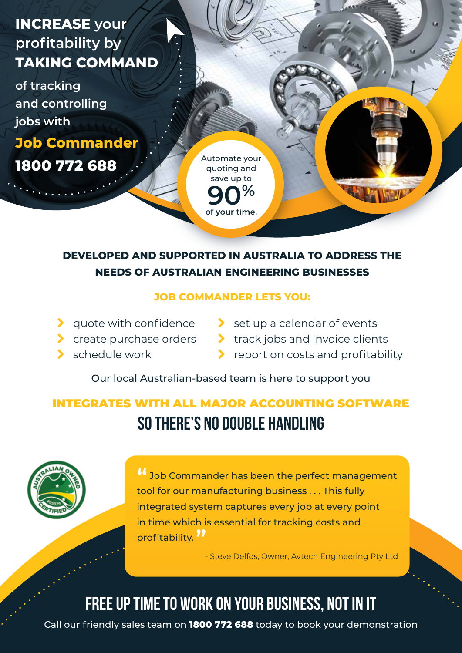# **INCREASE your profitability by TAKING COMMAND**

**of tracking and controlling jobs with**

**Job Commander**

**1800 772 688**

Automate your quoting and save up to **90% of your time.**

## **DEVELOPED AND SUPPORTED IN AUSTRALIA TO ADDRESS THE NEEDS OF AUSTRALIAN ENGINEERING BUSINESSES**

### **JOB COMMANDER LETS YOU:**

- $\blacktriangleright$  quote with confidence
- **Create purchase orders**
- schedule work
- $\sum$  set up a calendar of events
	- track jobs and invoice clients
		- report on costs and profitability

Our local Australian-based team is here to support you

# INTEGRATES WITH ALL MAJOR ACCOUNTING SOFTWARE so there's no double handling

**16** Job Commander has been the perfect management tool for our manufacturing business . . . This fully integrated system captures every job at every point in time which is essential for tracking costs and profitability. **"**

- Steve Delfos, Owner, Avtech Engineering Pty Ltd

# Free up time to work on your business, not in it

Call our friendly sales team on **1800 772 688** today to book your demonstration